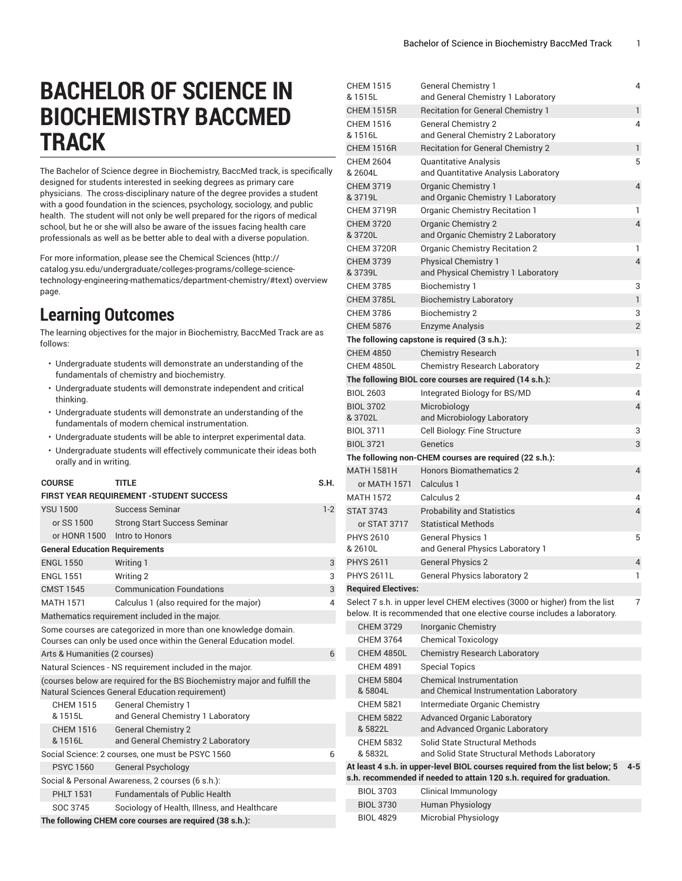## **BACHELOR OF SCIENCE IN BIOCHEMISTRY BACCMED TRACK**

The Bachelor of Science degree in Biochemistry, BaccMed track, is specifically designed for students interested in seeking degrees as primary care physicians. The cross-disciplinary nature of the degree provides a student with a good foundation in the sciences, psychology, sociology, and public health. The student will not only be well prepared for the rigors of medical school, but he or she will also be aware of the issues facing health care professionals as well as be better able to deal with a diverse population.

For more information, please see the [Chemical Sciences \(http://](http://catalog.ysu.edu/undergraduate/colleges-programs/college-science-technology-engineering-mathematics/department-chemistry/#text) [catalog.ysu.edu/undergraduate/colleges-programs/college-science](http://catalog.ysu.edu/undergraduate/colleges-programs/college-science-technology-engineering-mathematics/department-chemistry/#text)[technology-engineering-mathematics/department-chemistry/#text](http://catalog.ysu.edu/undergraduate/colleges-programs/college-science-technology-engineering-mathematics/department-chemistry/#text)) overview page.

## **Learning Outcomes**

The learning objectives for the major in Biochemistry, BaccMed Track are as follows:

- Undergraduate students will demonstrate an understanding of the fundamentals of chemistry and biochemistry.
- Undergraduate students will demonstrate independent and critical thinking.
- Undergraduate students will demonstrate an understanding of the fundamentals of modern chemical instrumentation.
- Undergraduate students will be able to interpret experimental data.
- Undergraduate students will effectively communicate their ideas both orally and in writing.

| <b>COURSE</b>                                                                                                                        |                                                | <b>TITLE</b><br><b>FIRST YEAR REQUIREMENT - STUDENT SUCCESS</b> | S.H.  |  |  |
|--------------------------------------------------------------------------------------------------------------------------------------|------------------------------------------------|-----------------------------------------------------------------|-------|--|--|
| <b>YSU 1500</b>                                                                                                                      |                                                | Success Seminar                                                 | $1-2$ |  |  |
| or SS 1500                                                                                                                           |                                                | <b>Strong Start Success Seminar</b>                             |       |  |  |
|                                                                                                                                      | or HONR 1500                                   | Intro to Honors                                                 |       |  |  |
|                                                                                                                                      |                                                |                                                                 |       |  |  |
|                                                                                                                                      |                                                | <b>General Education Requirements</b>                           |       |  |  |
| <b>ENGL 1550</b>                                                                                                                     |                                                | Writing 1                                                       | 3     |  |  |
| <b>ENGL 1551</b>                                                                                                                     |                                                | Writing 2                                                       | 3     |  |  |
| <b>CMST 1545</b>                                                                                                                     |                                                | <b>Communication Foundations</b>                                | 3     |  |  |
| <b>MATH 1571</b>                                                                                                                     |                                                | Calculus 1 (also required for the major)                        | 4     |  |  |
|                                                                                                                                      | Mathematics requirement included in the major. |                                                                 |       |  |  |
| Some courses are categorized in more than one knowledge domain.<br>Courses can only be used once within the General Education model. |                                                |                                                                 |       |  |  |
|                                                                                                                                      |                                                | Arts & Humanities (2 courses)                                   | 6     |  |  |
|                                                                                                                                      |                                                | Natural Sciences - NS requirement included in the major.        |       |  |  |
| (courses below are required for the BS Biochemistry major and fulfill the<br>Natural Sciences General Education requirement)         |                                                |                                                                 |       |  |  |
| <b>CHEM 1515</b>                                                                                                                     |                                                | <b>General Chemistry 1</b>                                      |       |  |  |
| & 1515L                                                                                                                              |                                                | and General Chemistry 1 Laboratory                              |       |  |  |
| <b>CHEM 1516</b>                                                                                                                     |                                                | <b>General Chemistry 2</b>                                      |       |  |  |
| & 1516L                                                                                                                              |                                                | and General Chemistry 2 Laboratory                              |       |  |  |
| Social Science: 2 courses, one must be PSYC 1560<br>6                                                                                |                                                |                                                                 |       |  |  |
| <b>PSYC 1560</b>                                                                                                                     |                                                | <b>General Psychology</b>                                       |       |  |  |
| Social & Personal Awareness, 2 courses (6 s.h.):                                                                                     |                                                |                                                                 |       |  |  |
| <b>PHLT 1531</b>                                                                                                                     |                                                | <b>Fundamentals of Public Health</b>                            |       |  |  |
| SOC 3745                                                                                                                             |                                                | Sociology of Health, Illness, and Healthcare                    |       |  |  |
| The following CHEM core courses are required (38 s.h.):                                                                              |                                                |                                                                 |       |  |  |

| <b>CHEM 1515</b><br>& 1515L      | <b>General Chemistry 1</b><br>and General Chemistry 1 Laboratory                              | 4       |
|----------------------------------|-----------------------------------------------------------------------------------------------|---------|
| <b>CHEM 1515R</b>                |                                                                                               | 1       |
| <b>CHEM 1516</b>                 | Recitation for General Chemistry 1<br><b>General Chemistry 2</b>                              | 4       |
| & 1516L                          | and General Chemistry 2 Laboratory                                                            |         |
| <b>CHEM 1516R</b>                | <b>Recitation for General Chemistry 2</b>                                                     | 1       |
| <b>CHEM 2604</b>                 | Quantitative Analysis                                                                         | 5       |
| & 2604L                          | and Quantitative Analysis Laboratory                                                          |         |
| <b>CHEM 3719</b><br>& 3719L      | Organic Chemistry 1<br>and Organic Chemistry 1 Laboratory                                     | 4       |
| <b>CHEM 3719R</b>                | <b>Organic Chemistry Recitation 1</b>                                                         | 1       |
| <b>CHEM 3720</b><br>& 3720L      | Organic Chemistry 2<br>and Organic Chemistry 2 Laboratory                                     | 4       |
| <b>CHEM 3720R</b>                | <b>Organic Chemistry Recitation 2</b>                                                         | 1       |
| <b>CHEM 3739</b><br>& 3739L      | <b>Physical Chemistry 1</b><br>and Physical Chemistry 1 Laboratory                            | 4       |
| <b>CHEM 3785</b>                 | <b>Biochemistry 1</b>                                                                         | 3       |
| <b>CHEM 3785L</b>                | <b>Biochemistry Laboratory</b>                                                                | 1       |
| <b>CHEM 3786</b>                 | <b>Biochemistry 2</b>                                                                         | 3       |
| <b>CHEM 5876</b>                 | <b>Enzyme Analysis</b>                                                                        | 2       |
|                                  | The following capstone is required (3 s.h.):                                                  |         |
| <b>CHEM 4850</b>                 | <b>Chemistry Research</b>                                                                     | 1       |
| <b>CHEM 4850L</b>                | <b>Chemistry Research Laboratory</b>                                                          | 2       |
|                                  | The following BIOL core courses are required (14 s.h.):                                       |         |
| <b>BIOL 2603</b>                 | Integrated Biology for BS/MD                                                                  | 4       |
| <b>BIOL 3702</b>                 | Microbiology                                                                                  | 4       |
| & 3702L                          | and Microbiology Laboratory                                                                   |         |
| <b>BIOL 3711</b>                 | Cell Biology: Fine Structure                                                                  | 3       |
| <b>BIOL 3721</b>                 | Genetics                                                                                      | 3       |
|                                  | The following non-CHEM courses are required (22 s.h.):                                        |         |
| <b>MATH 1581H</b>                | <b>Honors Biomathematics 2</b>                                                                | 4       |
| or MATH 1571                     | Calculus 1                                                                                    |         |
| <b>MATH 1572</b>                 | Calculus 2                                                                                    | 4       |
| <b>STAT 3743</b><br>or STAT 3717 | <b>Probability and Statistics</b><br><b>Statistical Methods</b>                               | 4       |
| <b>PHYS 2610</b>                 |                                                                                               | 5       |
| & 2610L                          | <b>General Physics 1</b><br>and General Physics Laboratory 1                                  |         |
| <b>PHYS 2611</b>                 | <b>General Physics 2</b>                                                                      | 4       |
| <b>PHYS 2611L</b>                | <b>General Physics laboratory 2</b>                                                           | 1       |
| <b>Required Electives:</b>       |                                                                                               |         |
|                                  | Select 7 s.h. in upper level CHEM electives (3000 or higher) from the list                    | 7       |
|                                  | below. It is recommended that one elective course includes a laboratory.                      |         |
| <b>CHEM 3729</b>                 | <b>Inorganic Chemistry</b>                                                                    |         |
| CHFM 3764                        | <b>Chemical Toxicology</b>                                                                    |         |
| <b>CHEM 4850L</b>                | <b>Chemistry Research Laboratory</b>                                                          |         |
| <b>CHEM 4891</b>                 | <b>Special Topics</b>                                                                         |         |
| <b>CHEM 5804</b><br>& 5804L      | <b>Chemical Instrumentation</b><br>and Chemical Instrumentation Laboratory                    |         |
| <b>CHEM 5821</b>                 | Intermediate Organic Chemistry                                                                |         |
| <b>CHEM 5822</b><br>& 5822L      | <b>Advanced Organic Laboratory</b><br>and Advanced Organic Laboratory                         |         |
| <b>CHEM 5832</b><br>& 5832L      | Solid State Structural Methods<br>and Solid State Structural Methods Laboratory               |         |
|                                  | At least 4 s.h. in upper-level BIOL courses required from the list below; 5                   | $4 - 5$ |
| <b>BIOL 3703</b>                 | s.h. recommended if needed to attain 120 s.h. required for graduation.<br>Clinical Immunology |         |
| <b>BIOL 3730</b>                 | Human Physiology                                                                              |         |
| <b>BIOL 4829</b>                 | Microbial Physiology                                                                          |         |
|                                  |                                                                                               |         |